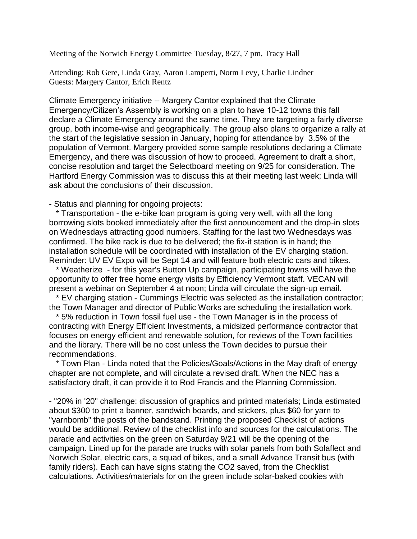Meeting of the Norwich Energy Committee Tuesday, 8/27, 7 pm, Tracy Hall

Attending: Rob Gere, Linda Gray, Aaron Lamperti, Norm Levy, Charlie Lindner Guests: Margery Cantor, Erich Rentz

Climate Emergency initiative -- Margery Cantor explained that the Climate Emergency/Citizen's Assembly is working on a plan to have 10-12 towns this fall declare a Climate Emergency around the same time. They are targeting a fairly diverse group, both income-wise and geographically. The group also plans to organize a rally at the start of the legislative session in January, hoping for attendance by 3.5% of the population of Vermont. Margery provided some sample resolutions declaring a Climate Emergency, and there was discussion of how to proceed. Agreement to draft a short, concise resolution and target the Selectboard meeting on 9/25 for consideration. The Hartford Energy Commission was to discuss this at their meeting last week; Linda will ask about the conclusions of their discussion.

- Status and planning for ongoing projects:

\* Transportation - the e-bike loan program is going very well, with all the long borrowing slots booked immediately after the first announcement and the drop-in slots on Wednesdays attracting good numbers. Staffing for the last two Wednesdays was confirmed. The bike rack is due to be delivered; the fix-it station is in hand; the installation schedule will be coordinated with installation of the EV charging station. Reminder: UV EV Expo will be Sept 14 and will feature both electric cars and bikes.

 \* Weatherize - for this year's Button Up campaign, participating towns will have the opportunity to offer free home energy visits by Efficiency Vermont staff. VECAN will present a webinar on September 4 at noon; Linda will circulate the sign-up email.

 \* EV charging station - Cummings Electric was selected as the installation contractor; the Town Manager and director of Public Works are scheduling the installation work.

\* 5% reduction in Town fossil fuel use - the Town Manager is in the process of contracting with Energy Efficient Investments, a midsized performance contractor that focuses on energy efficient and renewable solution, for reviews of the Town facilities and the library. There will be no cost unless the Town decides to pursue their recommendations.

\* Town Plan - Linda noted that the Policies/Goals/Actions in the May draft of energy chapter are not complete, and will circulate a revised draft. When the NEC has a satisfactory draft, it can provide it to Rod Francis and the Planning Commission.

- "20% in '20" challenge: discussion of graphics and printed materials; Linda estimated about \$300 to print a banner, sandwich boards, and stickers, plus \$60 for yarn to "yarnbomb" the posts of the bandstand. Printing the proposed Checklist of actions would be additional. Review of the checklist info and sources for the calculations. The parade and activities on the green on Saturday 9/21 will be the opening of the campaign. Lined up for the parade are trucks with solar panels from both Solaflect and Norwich Solar, electric cars, a squad of bikes, and a small Advance Transit bus (with family riders). Each can have signs stating the CO2 saved, from the Checklist calculations. Activities/materials for on the green include solar-baked cookies with